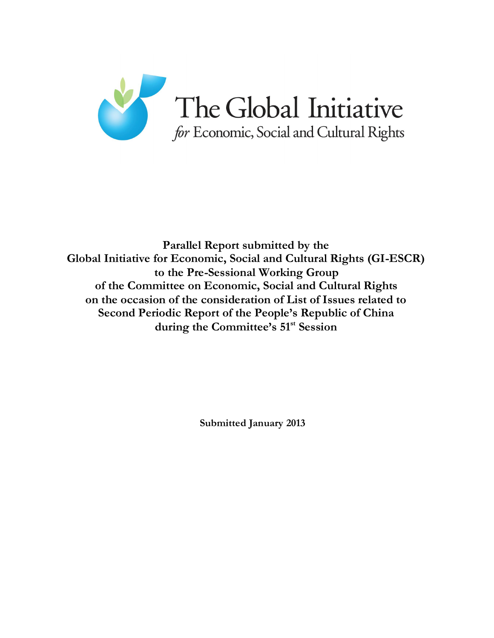

**Parallel Report submitted by the Global Initiative for Economic, Social and Cultural Rights (GI-ESCR) to the Pre-Sessional Working Group of the Committee on Economic, Social and Cultural Rights on the occasion of the consideration of List of Issues related to Second Periodic Report of the People's Republic of China during the Committee's 51st Session**

**Submitted January 2013**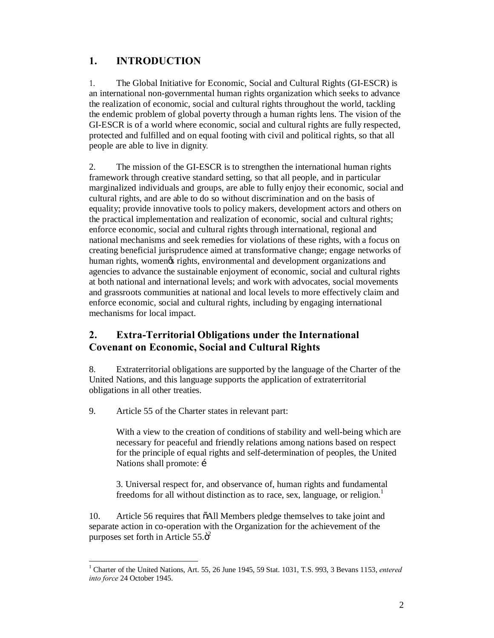## **1. INTRODUCTION**

1. The Global Initiative for Economic, Social and Cultural Rights (GI-ESCR) is an international non-governmental human rights organization which seeks to advance the realization of economic, social and cultural rights throughout the world, tackling the endemic problem of global poverty through a human rights lens. The vision of the GI-ESCR is of a world where economic, social and cultural rights are fully respected, protected and fulfilled and on equal footing with civil and political rights, so that all people are able to live in dignity*.*

2. The mission of the GI-ESCR is to strengthen the international human rights framework through creative standard setting, so that all people, and in particular marginalized individuals and groups, are able to fully enjoy their economic, social and cultural rights, and are able to do so without discrimination and on the basis of equality; provide innovative tools to policy makers, development actors and others on the practical implementation and realization of economic, social and cultural rights; enforce economic, social and cultural rights through international, regional and national mechanisms and seek remedies for violations of these rights, with a focus on creating beneficial jurisprudence aimed at transformative change; engage networks of human rights, womengs rights, environmental and development organizations and agencies to advance the sustainable enjoyment of economic, social and cultural rights at both national and international levels; and work with advocates, social movements and grassroots communities at national and local levels to more effectively claim and enforce economic, social and cultural rights, including by engaging international mechanisms for local impact.

## **2. Extra-Territorial Obligations under the International Covenant on Economic, Social and Cultural Rights**

8. Extraterritorial obligations are supported by the language of the Charter of the United Nations, and this language supports the application of extraterritorial obligations in all other treaties.

9. Article 55 of the Charter states in relevant part:

With a view to the creation of conditions of stability and well-being which are necessary for peaceful and friendly relations among nations based on respect for the principle of equal rights and self-determination of peoples, the United Nations shall promote: i

3. Universal respect for, and observance of, human rights and fundamental freedoms for all without distinction as to race, sex, language, or religion.<sup>1</sup>

10. Article 56 requires that  $\delta$ All Members pledge themselves to take joint and separate action in co-operation with the Organization for the achievement of the purposes set forth in Article  $55.\ddot{\circ}^2$ 

 <sup>1</sup> Charter of the United Nations, Art. 55, 26 June 1945, 59 Stat. 1031, T.S. 993, 3 Bevans 1153, *entered into force* 24 October 1945.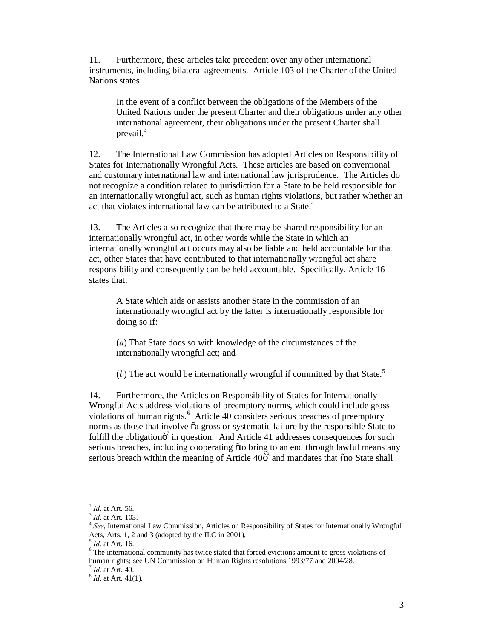11. Furthermore, these articles take precedent over any other international instruments, including bilateral agreements. Article 103 of the Charter of the United Nations states:

In the event of a conflict between the obligations of the Members of the United Nations under the present Charter and their obligations under any other international agreement, their obligations under the present Charter shall prevail.<sup>3</sup>

12. The International Law Commission has adopted Articles on Responsibility of States for Internationally Wrongful Acts. These articles are based on conventional and customary international law and international law jurisprudence. The Articles do not recognize a condition related to jurisdiction for a State to be held responsible for an internationally wrongful act, such as human rights violations, but rather whether an act that violates international law can be attributed to a State.<sup>4</sup>

13. The Articles also recognize that there may be shared responsibility for an internationally wrongful act, in other words while the State in which an internationally wrongful act occurs may also be liable and held accountable for that act, other States that have contributed to that internationally wrongful act share responsibility and consequently can be held accountable. Specifically, Article 16 states that:

A State which aids or assists another State in the commission of an internationally wrongful act by the latter is internationally responsible for doing so if:

(*a*) That State does so with knowledge of the circumstances of the internationally wrongful act; and

(*b*) The act would be internationally wrongful if committed by that State.<sup>5</sup>

14. Furthermore, the Articles on Responsibility of States for Internationally Wrongful Acts address violations of preemptory norms, which could include gross violations of human rights.<sup>6</sup> Article 40 considers serious breaches of preemptory norms as those that involve  $\tilde{o}a$  gross or systematic failure by the responsible State to fulfill the obligation $\ddot{o}$  in question. And Article 41 addresses consequences for such serious breaches, including cooperating õto bring to an end through lawful means any serious breach within the meaning of Article  $40\ddot{\delta}$  and mandates that  $\ddot{\delta}$  no State shall

<sup>&</sup>lt;sup>2</sup> *Id.* at Art. 56.<br><sup>3</sup> *Id.* at Art. 103.<br><sup>4</sup> *See*, International Law Commission, Articles on Responsibility of States for Internationally Wrongful Acts, Arts. 1, 2 and 3 (adopted by the ILC in 2001).

 $5$  *Id.* at Art. 16. **6** The international community has twice stated that forced evictions amount to gross violations of human rights; see UN Commission on Human Rights resolutions 1993/77 and 2004/28.<br><sup>7</sup> *Id.* at Art. 40. 8 *Id.* at Art. 41(1).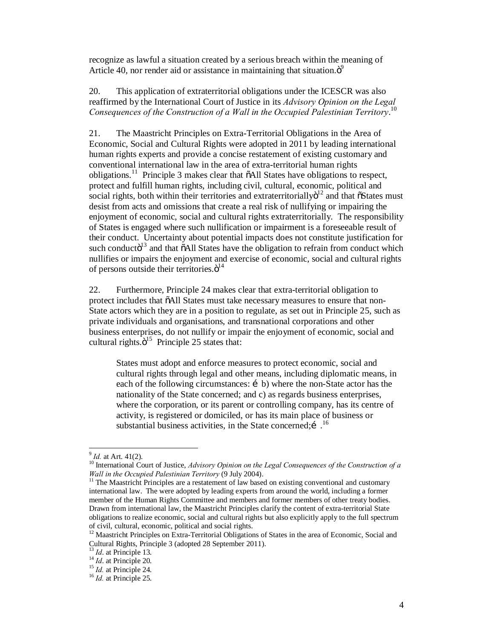recognize as lawful a situation created by a serious breach within the meaning of Article 40, nor render aid or assistance in maintaining that situation. $\ddot{\sigma}^9$ 

20. This application of extraterritorial obligations under the ICESCR was also reaffirmed by the International Court of Justice in its *Advisory Opinion on the Legal Consequences of the Construction of a Wall in the Occupied Palestinian Territory*. 10

21. The Maastricht Principles on Extra-Territorial Obligations in the Area of Economic, Social and Cultural Rights were adopted in 2011 by leading international human rights experts and provide a concise restatement of existing customary and conventional international law in the area of extra-territorial human rights obligations.<sup>11</sup> Principle 3 makes clear that  $\delta$ All States have obligations to respect, protect and fulfill human rights, including civil, cultural, economic, political and social rights, both within their territories and extraterritorially $\ddot{o}^{12}$  and that  $\ddot{o}$ States must desist from acts and omissions that create a real risk of nullifying or impairing the enjoyment of economic, social and cultural rights extraterritorially. The responsibility of States is engaged where such nullification or impairment is a foreseeable result of their conduct. Uncertainty about potential impacts does not constitute justification for such conducto<sup>13</sup> and that  $\tilde{o}$ All States have the obligation to refrain from conduct which nullifies or impairs the enjoyment and exercise of economic, social and cultural rights of persons outside their territories. $\ddot{\mathrm{o}}^{14}$ 

22. Furthermore, Principle 24 makes clear that extra-territorial obligation to protect includes that  $\tilde{o}$ All States must take necessary measures to ensure that non-State actors which they are in a position to regulate, as set out in Principle 25, such as private individuals and organisations, and transnational corporations and other business enterprises, do not nullify or impair the enjoyment of economic, social and cultural rights. $\ddot{\text{o}}^{15}$  Principle 25 states that:

States must adopt and enforce measures to protect economic, social and cultural rights through legal and other means, including diplomatic means, in each of the following circumstances:  $\mathbf{i}$  b) where the non-State actor has the nationality of the State concerned; and c) as regards business enterprises, where the corporation, or its parent or controlling company, has its centre of activity, is registered or domiciled, or has its main place of business or substantial business activities, in the State concerned;  $1^{16}$ 

<sup>&</sup>lt;sup>9</sup> *Id.* at Art. 41(2).<br><sup>10</sup> International Court of Justice, *Advisory Opinion on the Legal Consequences of the Construction of a Wall in the Occupied Palestinian Territory (9 July 2004).* 

<sup>&</sup>lt;sup>11</sup> The Maastricht Principles are a restatement of law based on existing conventional and customary international law. The were adopted by leading experts from around the world, including a former member of the Human Rights Committee and members and former members of other treaty bodies. Drawn from international law, the Maastricht Principles clarify the content of extra-territorial State obligations to realize economic, social and cultural rights but also explicitly apply to the full spectrum of civil, cultural, economic, political and social rights.

 $12$  Maastricht Principles on Extra-Territorial Obligations of States in the area of Economic, Social and Cultural Rights, Principle 3 (adopted 28 September 2011).<br><sup>13</sup> *Id.* at Principle 13.<br><sup>14</sup> *Id.* at Principle 24.<br><sup>15</sup> *Id.* at Principle 24.<br><sup>16</sup> *Id.* at Principle 25.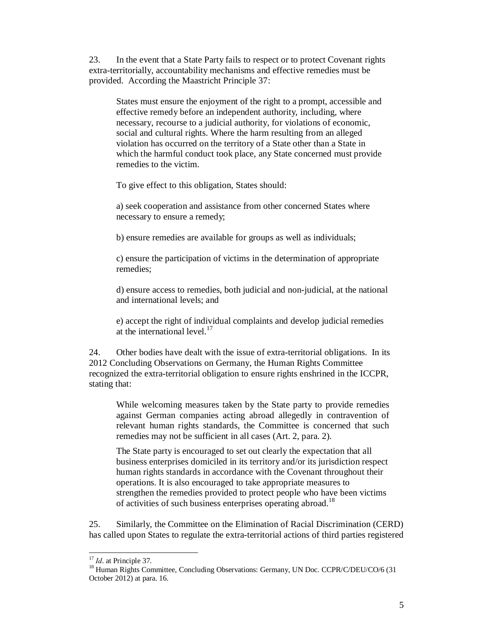23. In the event that a State Party fails to respect or to protect Covenant rights extra-territorially, accountability mechanisms and effective remedies must be provided. According the Maastricht Principle 37:

States must ensure the enjoyment of the right to a prompt, accessible and effective remedy before an independent authority, including, where necessary, recourse to a judicial authority, for violations of economic, social and cultural rights. Where the harm resulting from an alleged violation has occurred on the territory of a State other than a State in which the harmful conduct took place, any State concerned must provide remedies to the victim.

To give effect to this obligation, States should:

a) seek cooperation and assistance from other concerned States where necessary to ensure a remedy;

b) ensure remedies are available for groups as well as individuals;

c) ensure the participation of victims in the determination of appropriate remedies;

d) ensure access to remedies, both judicial and non-judicial, at the national and international levels; and

e) accept the right of individual complaints and develop judicial remedies at the international level. $17$ 

24. Other bodies have dealt with the issue of extra-territorial obligations. In its 2012 Concluding Observations on Germany, the Human Rights Committee recognized the extra-territorial obligation to ensure rights enshrined in the ICCPR, stating that:

While welcoming measures taken by the State party to provide remedies against German companies acting abroad allegedly in contravention of relevant human rights standards, the Committee is concerned that such remedies may not be sufficient in all cases (Art. 2, para. 2).

The State party is encouraged to set out clearly the expectation that all business enterprises domiciled in its territory and/or its jurisdiction respect human rights standards in accordance with the Covenant throughout their operations. It is also encouraged to take appropriate measures to strengthen the remedies provided to protect people who have been victims of activities of such business enterprises operating abroad.<sup>18</sup>

25. Similarly, the Committee on the Elimination of Racial Discrimination (CERD) has called upon States to regulate the extra-territorial actions of third parties registered

<sup>&</sup>lt;sup>17</sup> *Id.* at Principle 37. 18 Human Rights Committee, Concluding Observations: Germany, UN Doc. CCPR/C/DEU/CO/6 (31 October 2012) at para. 16.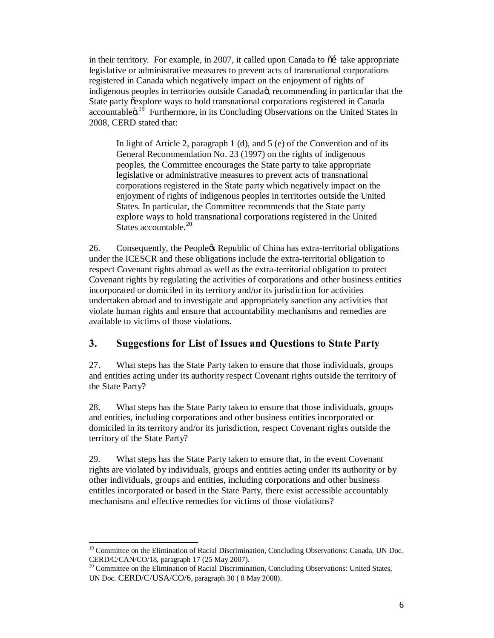in their territory. For example, in 2007, it called upon Canada to  $\tilde{\alpha}$  take appropriate legislative or administrative measures to prevent acts of transnational corporations registered in Canada which negatively impact on the enjoyment of rights of indigenous peoples in territories outside Canadaö, recommending in particular that the State party õexplore ways to hold transnational corporations registered in Canada accountableö.<sup>19</sup> Furthermore, in its Concluding Observations on the United States in 2008, CERD stated that:

In light of Article 2, paragraph 1 (d), and 5 (e) of the Convention and of its General Recommendation No. 23 (1997) on the rights of indigenous peoples, the Committee encourages the State party to take appropriate legislative or administrative measures to prevent acts of transnational corporations registered in the State party which negatively impact on the enjoyment of rights of indigenous peoples in territories outside the United States. In particular, the Committee recommends that the State party explore ways to hold transnational corporations registered in the United States accountable. $^{20}$ 

26. Consequently, the People's Republic of China has extra-territorial obligations under the ICESCR and these obligations include the extra-territorial obligation to respect Covenant rights abroad as well as the extra-territorial obligation to protect Covenant rights by regulating the activities of corporations and other business entities incorporated or domiciled in its territory and/or its jurisdiction for activities undertaken abroad and to investigate and appropriately sanction any activities that violate human rights and ensure that accountability mechanisms and remedies are available to victims of those violations.

## **3. Suggestions for List of Issues and Questions to State Party**

27. What steps has the State Party taken to ensure that those individuals, groups and entities acting under its authority respect Covenant rights outside the territory of the State Party?

28. What steps has the State Party taken to ensure that those individuals, groups and entities, including corporations and other business entities incorporated or domiciled in its territory and/or its jurisdiction, respect Covenant rights outside the territory of the State Party?

29. What steps has the State Party taken to ensure that, in the event Covenant rights are violated by individuals, groups and entities acting under its authority or by other individuals, groups and entities, including corporations and other business entitles incorporated or based in the State Party, there exist accessible accountably mechanisms and effective remedies for victims of those violations?

<sup>&</sup>lt;sup>19</sup> Committee on the Elimination of Racial Discrimination, Concluding Observations: Canada, UN Doc. CERD/C/CAN/CO/18, paragraph 17 (25 May 2007).

<sup>&</sup>lt;sup>20</sup> Committee on the Elimination of Racial Discrimination, Concluding Observations: United States, UN Doc. CERD/C/USA/CO/6, paragraph 30 ( 8 May 2008).